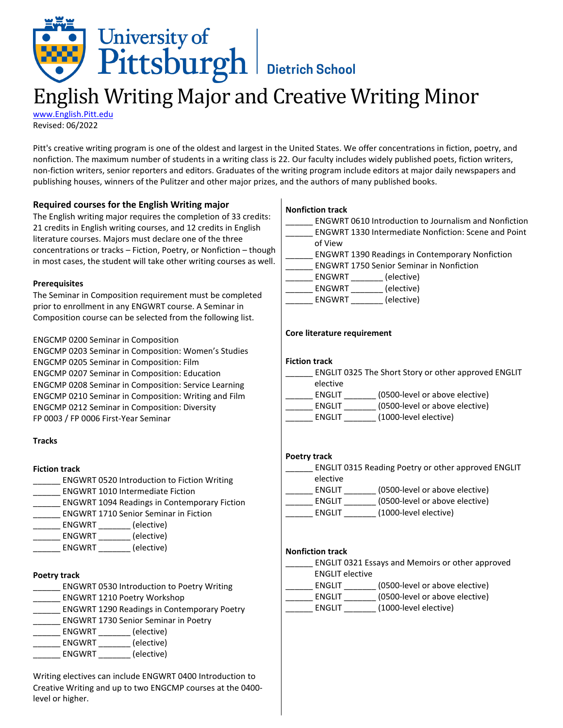

# English Writing Major and Creative Writing Minor

[www.English.Pitt.edu](http://www.english.pitt.edu/) Revised: 06/2022

Pitt's creative writing program is one of the oldest and largest in the United States. We offer concentrations in fiction, poetry, and nonfiction. The maximum number of students in a writing class is 22. Our faculty includes widely published poets, fiction writers, non-fiction writers, senior reporters and editors. Graduates of the writing program include editors at major daily newspapers and publishing houses, winners of the Pulitzer and other major prizes, and the authors of many published books.

# **Required courses for the English Writing major**

The English writing major requires the completion of 33 credits: 21 credits in English writing courses, and 12 credits in English literature courses. Majors must declare one of the three concentrations or tracks – Fiction, Poetry, or Nonfiction – though in most cases, the student will take other writing courses as well.

#### **Prerequisites**

The Seminar in Composition requirement must be completed prior to enrollment in any ENGWRT course. A Seminar in Composition course can be selected from the following list.

ENGCMP 0200 Seminar in Composition ENGCMP 0203 Seminar in Composition: Women's Studies ENGCMP 0205 Seminar in Composition: Film ENGCMP 0207 Seminar in Composition: Education ENGCMP 0208 Seminar in Composition: Service Learning ENGCMP 0210 Seminar in Composition: Writing and Film ENGCMP 0212 Seminar in Composition: Diversity FP 0003 / FP 0006 First-Year Seminar

#### **Tracks**

#### **Fiction track**

- ENGWRT 0520 Introduction to Fiction Writing
- \_\_\_\_\_\_ ENGWRT 1010 Intermediate Fiction
- \_\_\_\_\_\_ ENGWRT 1094 Readings in Contemporary Fiction
- \_\_\_\_\_\_ ENGWRT 1710 Senior Seminar in Fiction
- \_\_\_\_\_\_ ENGWRT \_\_\_\_\_\_\_ (elective)
- \_\_\_\_\_\_ ENGWRT \_\_\_\_\_\_\_ (elective)
- ENGWRT (elective)

# **Poetry track**

- \_\_\_\_\_\_ ENGWRT 0530 Introduction to Poetry Writing
- \_\_\_\_\_\_ ENGWRT 1210 Poetry Workshop
- \_\_\_\_\_\_ ENGWRT 1290 Readings in Contemporary Poetry
- \_\_\_\_\_\_ ENGWRT 1730 Senior Seminar in Poetry
- \_\_\_\_\_\_ ENGWRT \_\_\_\_\_\_\_ (elective)
- \_\_\_\_\_\_ ENGWRT \_\_\_\_\_\_\_ (elective)
- ENGWRT \_\_\_\_\_\_\_ (elective)

Writing electives can include ENGWRT 0400 Introduction to Creative Writing and up to two ENGCMP courses at the 0400 level or higher.

## **Nonfiction track**

| <b>ENGWRT 0610 Introduction to Journalism and Nonfiction</b><br><b>ENGWRT 1330 Intermediate Nonfiction: Scene and Point</b> |
|-----------------------------------------------------------------------------------------------------------------------------|
| of View                                                                                                                     |
| <b>ENGWRT 1390 Readings in Contemporary Nonfiction</b>                                                                      |
| <b>ENGWRT 1750 Senior Seminar in Nonfiction</b>                                                                             |
| (elective)<br>ENGWRT                                                                                                        |
| (elective)<br>ENGWRT                                                                                                        |
| (elective)<br>ENGWRT                                                                                                        |
|                                                                                                                             |

## **Core literature requirement**

|               | ENGLIT 0325 The Short Story or other approved ENGLIT |
|---------------|------------------------------------------------------|
| elective      |                                                      |
| <b>ENGLIT</b> | (0500-level or above elective)                       |
| <b>ENGLIT</b> | (0500-level or above elective)                       |
| <b>ENGLIT</b> | (1000-level elective)                                |

# **Poetry track**

| <b>ENGLIT 0315 Reading Poetry or other approved ENGLIT</b> |                                |  |  |
|------------------------------------------------------------|--------------------------------|--|--|
| elective                                                   |                                |  |  |
| <b>ENGLIT</b>                                              | (0500-level or above elective) |  |  |
| <b>ENGLIT</b>                                              | (0500-level or above elective) |  |  |
| <b>ENGLIT</b>                                              | (1000-level elective)          |  |  |
|                                                            |                                |  |  |

#### **Nonfiction track**

| ENGLIT 0321 Essays and Memoirs or other approved |                                |  |  |  |
|--------------------------------------------------|--------------------------------|--|--|--|
| <b>ENGLIT elective</b>                           |                                |  |  |  |
| <b>ENGLIT</b>                                    | (0500-level or above elective) |  |  |  |
| <b>ENGLIT</b>                                    | (0500-level or above elective) |  |  |  |
| <b>ENGLIT</b>                                    | (1000-level elective)          |  |  |  |